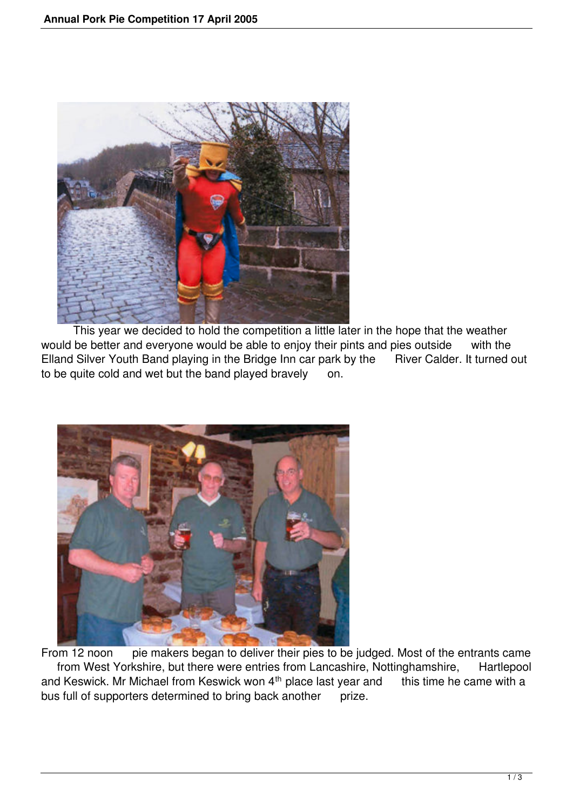

 This year we decided to hold the competition a little later in the hope that the weather would be better and everyone would be able to enjoy their pints and pies outside with the Elland Silver Youth Band playing in the Bridge Inn car park by the River Calder. It turned out to be quite cold and wet but the band played bravely on.



From 12 noon pie makers began to deliver their pies to be judged. Most of the entrants came from West Yorkshire, but there were entries from Lancashire, Nottinghamshire, Hartlepool and Keswick. Mr Michael from Keswick won  $4<sup>th</sup>$  place last year and this time he came with a bus full of supporters determined to bring back another prize.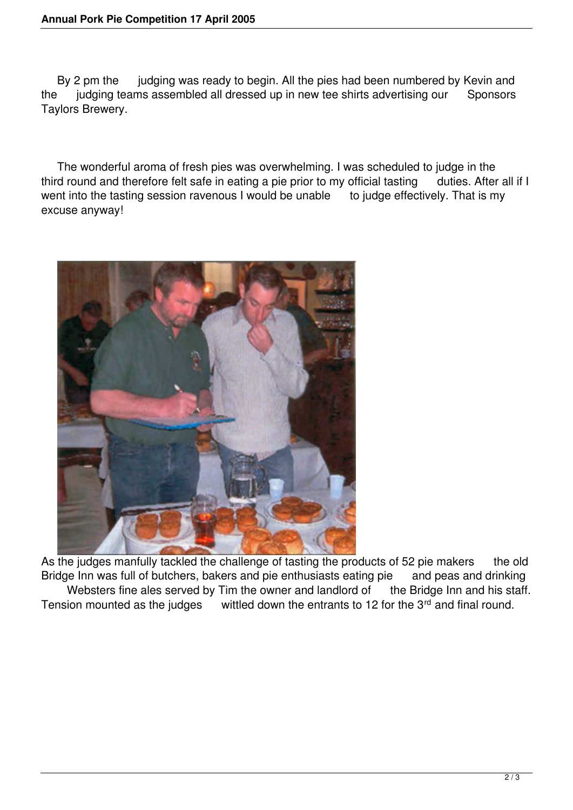By 2 pm the judging was ready to begin. All the pies had been numbered by Kevin and the judging teams assembled all dressed up in new tee shirts advertising our Sponsors Taylors Brewery.

 The wonderful aroma of fresh pies was overwhelming. I was scheduled to judge in the third round and therefore felt safe in eating a pie prior to my official tasting duties. After all if I went into the tasting session ravenous I would be unable to judge effectively. That is my excuse anyway!



As the judges manfully tackled the challenge of tasting the products of 52 pie makers the old Bridge Inn was full of butchers, bakers and pie enthusiasts eating pie and peas and drinking Websters fine ales served by Tim the owner and landlord of the Bridge Inn and his staff. Tension mounted as the judges wittled down the entrants to 12 for the  $3<sup>rd</sup>$  and final round.